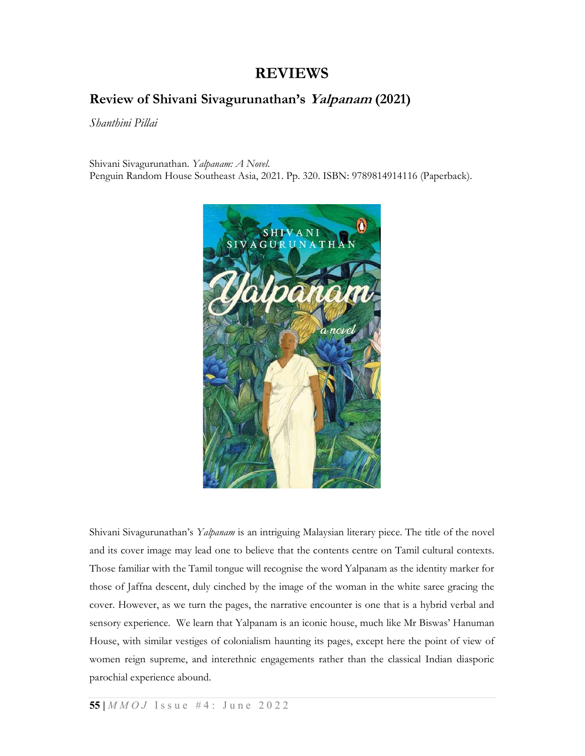## REVIEWS

## Review of Shivani Sivagurunathan's Yalpanam (2021)

Shanthini Pillai

Shivani Sivagurunathan. Yalpanam: A Novel. Penguin Random House Southeast Asia, 2021. Pp. 320. ISBN: 9789814914116 (Paperback).



Shivani Sivagurunathan's Yalpanam is an intriguing Malaysian literary piece. The title of the novel and its cover image may lead one to believe that the contents centre on Tamil cultural contexts. Those familiar with the Tamil tongue will recognise the word Yalpanam as the identity marker for those of Jaffna descent, duly cinched by the image of the woman in the white saree gracing the cover. However, as we turn the pages, the narrative encounter is one that is a hybrid verbal and sensory experience. We learn that Yalpanam is an iconic house, much like Mr Biswas' Hanuman House, with similar vestiges of colonialism haunting its pages, except here the point of view of women reign supreme, and interethnic engagements rather than the classical Indian diasporic parochial experience abound.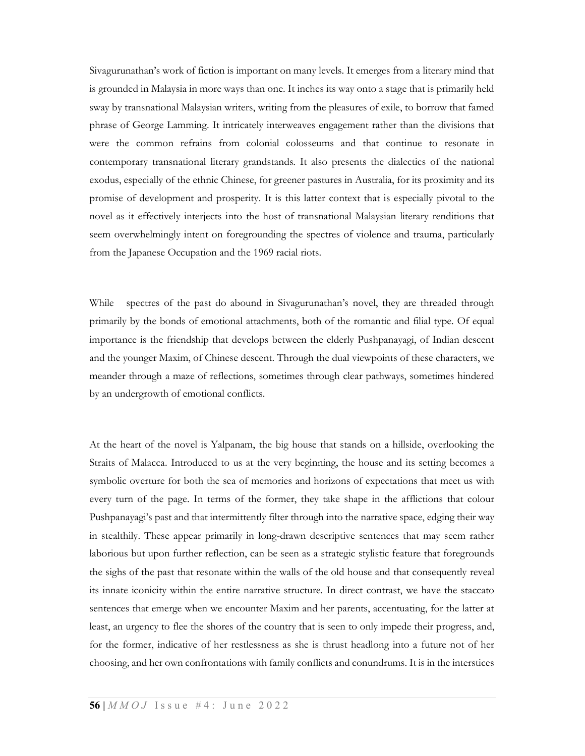Sivagurunathan's work of fiction is important on many levels. It emerges from a literary mind that is grounded in Malaysia in more ways than one. It inches its way onto a stage that is primarily held sway by transnational Malaysian writers, writing from the pleasures of exile, to borrow that famed phrase of George Lamming. It intricately interweaves engagement rather than the divisions that were the common refrains from colonial colosseums and that continue to resonate in contemporary transnational literary grandstands. It also presents the dialectics of the national exodus, especially of the ethnic Chinese, for greener pastures in Australia, for its proximity and its promise of development and prosperity. It is this latter context that is especially pivotal to the novel as it effectively interjects into the host of transnational Malaysian literary renditions that seem overwhelmingly intent on foregrounding the spectres of violence and trauma, particularly from the Japanese Occupation and the 1969 racial riots.

While spectres of the past do abound in Sivagurunathan's novel, they are threaded through primarily by the bonds of emotional attachments, both of the romantic and filial type. Of equal importance is the friendship that develops between the elderly Pushpanayagi, of Indian descent and the younger Maxim, of Chinese descent. Through the dual viewpoints of these characters, we meander through a maze of reflections, sometimes through clear pathways, sometimes hindered by an undergrowth of emotional conflicts.

At the heart of the novel is Yalpanam, the big house that stands on a hillside, overlooking the Straits of Malacca. Introduced to us at the very beginning, the house and its setting becomes a symbolic overture for both the sea of memories and horizons of expectations that meet us with every turn of the page. In terms of the former, they take shape in the afflictions that colour Pushpanayagi's past and that intermittently filter through into the narrative space, edging their way in stealthily. These appear primarily in long-drawn descriptive sentences that may seem rather laborious but upon further reflection, can be seen as a strategic stylistic feature that foregrounds the sighs of the past that resonate within the walls of the old house and that consequently reveal its innate iconicity within the entire narrative structure. In direct contrast, we have the staccato sentences that emerge when we encounter Maxim and her parents, accentuating, for the latter at least, an urgency to flee the shores of the country that is seen to only impede their progress, and, for the former, indicative of her restlessness as she is thrust headlong into a future not of her choosing, and her own confrontations with family conflicts and conundrums. It is in the interstices